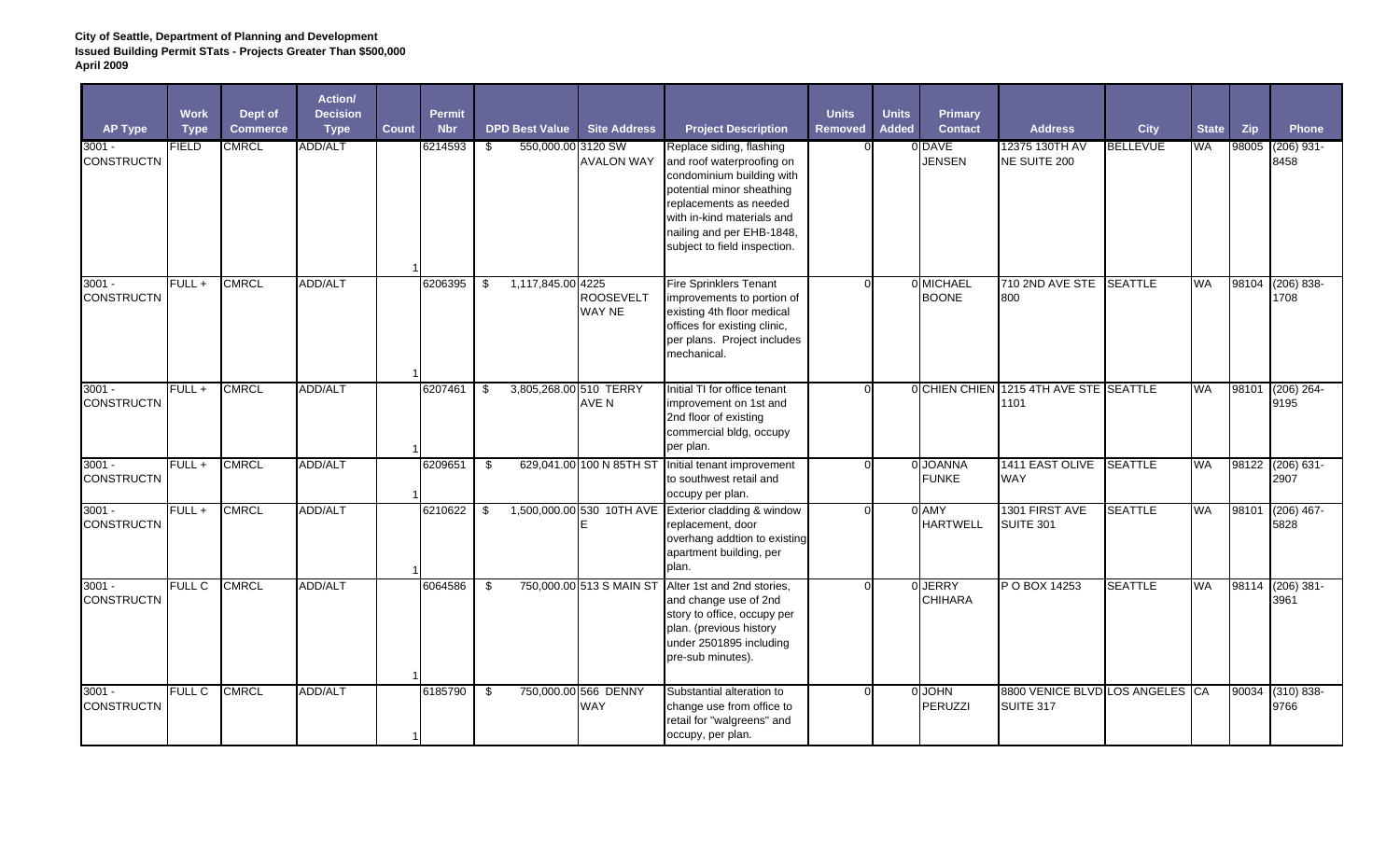| <b>AP Type</b>                | <b>Work</b><br><b>Type</b> | Dept of<br><b>Commerce</b> | Action/<br><b>Decision</b><br><b>Type</b> | <b>Count</b> | Permit<br><b>Nbr</b> |     | <b>DPD Best Value</b>  | <b>Site Address</b>                | <b>Project Description</b>                                                                                                                                                                                                           | <b>Units</b><br>Removed | <b>Units</b><br>Added | Primary<br><b>Contact</b> | <b>Address</b>                                 | <b>City</b>     | <b>State</b> | Zip   | <b>Phone</b>          |
|-------------------------------|----------------------------|----------------------------|-------------------------------------------|--------------|----------------------|-----|------------------------|------------------------------------|--------------------------------------------------------------------------------------------------------------------------------------------------------------------------------------------------------------------------------------|-------------------------|-----------------------|---------------------------|------------------------------------------------|-----------------|--------------|-------|-----------------------|
| $3001 -$<br><b>CONSTRUCTN</b> | <b>FIELD</b>               | <b>CMRCL</b>               | ADD/ALT                                   |              | 6214593              | \$  | 550,000.00 3120 SW     | <b>AVALON WAY</b>                  | Replace siding, flashing<br>and roof waterproofing on<br>condominium building with<br>potential minor sheathing<br>replacements as needed<br>with in-kind materials and<br>nailing and per EHB-1848,<br>subject to field inspection. |                         |                       | 0 DAVE<br><b>JENSEN</b>   | 12375 130TH AV<br>NE SUITE 200                 | <b>BELLEVUE</b> | WA           | 98005 | $(206)$ 931-<br>8458  |
| $3001 -$<br><b>CONSTRUCTN</b> | $FULL +$                   | <b>CMRCL</b>               | <b>ADD/ALT</b>                            |              | 6206395              | \$  | 1,117,845.00 4225      | <b>ROOSEVELT</b><br>WAY NE         | <b>Fire Sprinklers Tenant</b><br>improvements to portion of<br>existing 4th floor medical<br>offices for existing clinic,<br>per plans. Project includes<br>mechanical.                                                              | $\Omega$                |                       | 0 MICHAEL<br><b>BOONE</b> | 710 2ND AVE STE<br>800                         | <b>SEATTLE</b>  | <b>WA</b>    | 98104 | $(206) 838 -$<br>1708 |
| $3001 -$<br><b>CONSTRUCTN</b> | $FULL +$                   | <b>CMRCL</b>               | ADD/ALT                                   |              | 6207461              | \$  | 3,805,268.00 510 TERRY | AVE N                              | Initial TI for office tenant<br>improvement on 1st and<br>2nd floor of existing<br>commercial bldg, occupy<br>per plan.                                                                                                              |                         |                       |                           | 0 CHIEN CHIEN 1215 4TH AVE STE SEATTLE<br>1101 |                 | <b>WA</b>    | 98101 | $(206) 264 -$<br>9195 |
| $3001 -$<br><b>CONSTRUCTN</b> | $FULL +$                   | <b>CMRCL</b>               | <b>ADD/ALT</b>                            |              | 6209651              | \$  |                        | 629,041.00 100 N 85TH ST           | Initial tenant improvement<br>to southwest retail and<br>occupy per plan.                                                                                                                                                            |                         |                       | 0 JOANNA<br><b>FUNKE</b>  | 1411 EAST OLIVE<br><b>WAY</b>                  | <b>SEATTLE</b>  | <b>WA</b>    | 98122 | $(206) 631 -$<br>2907 |
| $3001 -$<br><b>CONSTRUCTN</b> | $FULL +$                   | <b>CMRCL</b>               | ADD/ALT                                   |              | 6210622              | -\$ |                        | 1,500,000.00 530 10TH AVE          | Exterior cladding & window<br>replacement, door<br>overhang addtion to existing<br>apartment building, per<br>plan.                                                                                                                  |                         |                       | 0 AMY<br><b>HARTWELL</b>  | 1301 FIRST AVE<br><b>SUITE 301</b>             | <b>SEATTLE</b>  | <b>WA</b>    | 98101 | $(206)$ 467-<br>5828  |
| $3001 -$<br><b>CONSTRUCTN</b> | <b>FULL C</b>              | <b>CMRCL</b>               | ADD/ALT                                   |              | 6064586              | \$  |                        | 750,000.00 513 S MAIN ST           | Alter 1st and 2nd stories,<br>and change use of 2nd<br>story to office, occupy per<br>plan. (previous history<br>under 2501895 including<br>pre-sub minutes).                                                                        | $\Omega$                |                       | 0 JERRY<br><b>CHIHARA</b> | P O BOX 14253                                  | <b>SEATTLE</b>  | <b>WA</b>    | 98114 | $(206)$ 381-<br>3961  |
| $3001 -$<br><b>CONSTRUCTN</b> | <b>FULL C</b>              | <b>CMRCL</b>               | <b>ADD/ALT</b>                            |              | 6185790              | \$  |                        | 750,000.00 566 DENNY<br><b>WAY</b> | Substantial alteration to<br>change use from office to<br>retail for "walgreens" and<br>occupy, per plan.                                                                                                                            | $\Omega$                |                       | 0 JOHN<br>PERUZZI         | 8800 VENICE BLVD LOS ANGELES CA<br>SUITE 317   |                 |              | 90034 | $(310) 838 -$<br>9766 |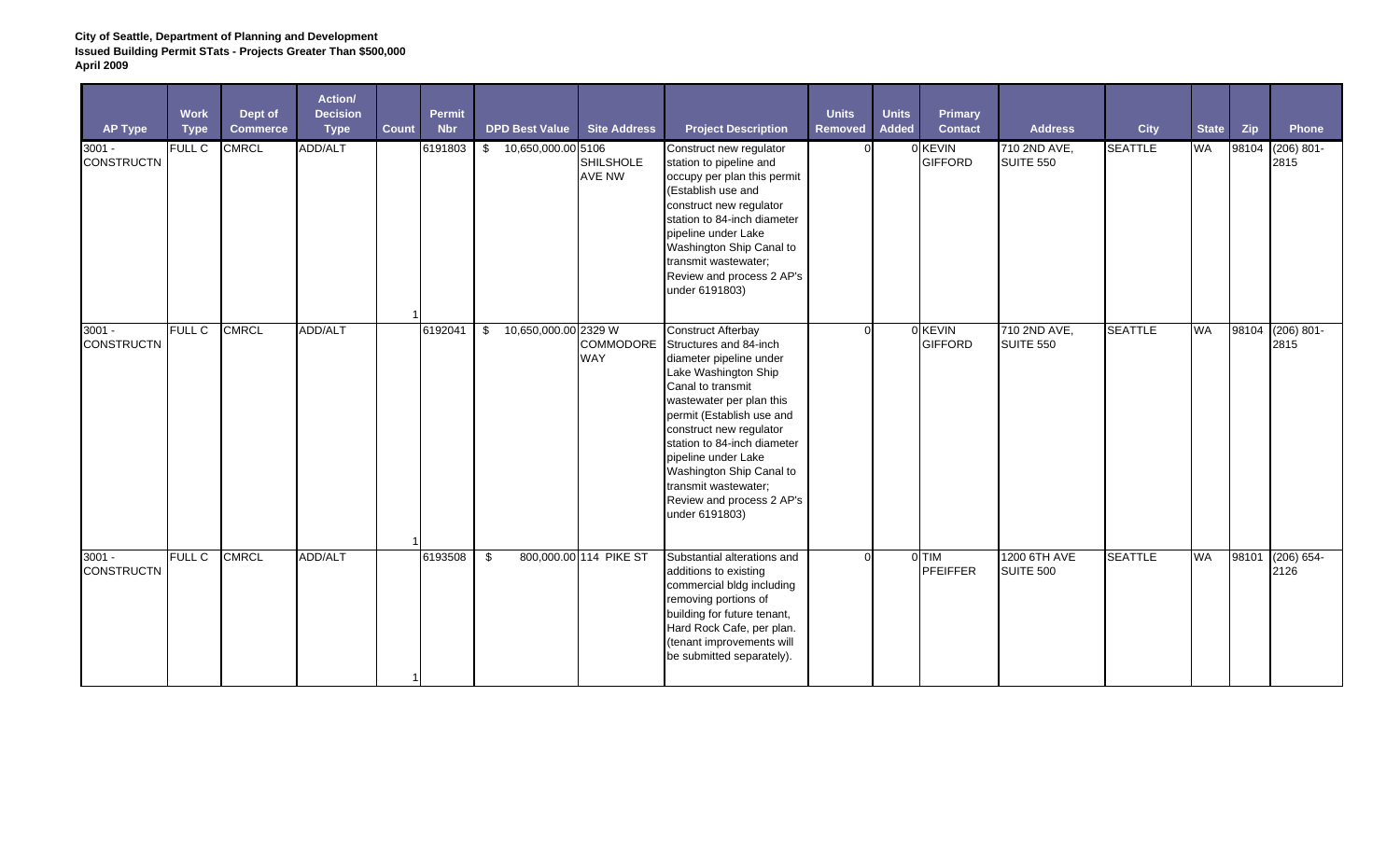| <b>AP Type</b>                | <b>Work</b><br><b>Type</b> | Dept of<br><b>Commerce</b> | Action/<br><b>Decision</b><br><b>Type</b> | <b>Count</b>   | <b>Permit</b><br><b>Nbr</b> | <b>DPD Best Value</b>      | <b>Site Address</b>               | <b>Project Description</b>                                                                                                                                                                                                                                                                                                                                               | <b>Units</b><br>Removed | <b>Units</b><br><b>Added</b> | <b>Primary</b><br><b>Contact</b> | <b>Address</b>                   | <b>City</b>    | <b>State</b> | Zip   | Phone                    |
|-------------------------------|----------------------------|----------------------------|-------------------------------------------|----------------|-----------------------------|----------------------------|-----------------------------------|--------------------------------------------------------------------------------------------------------------------------------------------------------------------------------------------------------------------------------------------------------------------------------------------------------------------------------------------------------------------------|-------------------------|------------------------------|----------------------------------|----------------------------------|----------------|--------------|-------|--------------------------|
| $3001 -$<br><b>CONSTRUCTN</b> | <b>FULL C</b>              | <b>CMRCL</b>               | ADD/ALT                                   |                | 6191803                     | \$10,650,000.00 5106       | <b>SHILSHOLE</b><br><b>AVE NW</b> | Construct new regulator<br>station to pipeline and<br>occupy per plan this permit<br>(Establish use and<br>construct new regulator<br>station to 84-inch diameter<br>pipeline under Lake<br>Washington Ship Canal to<br>transmit wastewater;<br>Review and process 2 AP's<br>under 6191803)                                                                              |                         |                              | 0 KEVIN<br><b>GIFFORD</b>        | 710 2ND AVE,<br><b>SUITE 550</b> | <b>SEATTLE</b> | <b>WA</b>    | 98104 | $(206) 801 -$<br>2815    |
| $3001 -$<br><b>CONSTRUCTN</b> | <b>FULL C</b>              | <b>CMRCL</b>               | ADD/ALT                                   |                | 6192041                     | 10,650,000.00 2329 W<br>\$ | <b>COMMODORE</b><br><b>WAY</b>    | <b>Construct Afterbay</b><br>Structures and 84-inch<br>diameter pipeline under<br>Lake Washington Ship<br>Canal to transmit<br>wastewater per plan this<br>permit (Establish use and<br>construct new regulator<br>station to 84-inch diameter<br>pipeline under Lake<br>Washington Ship Canal to<br>transmit wastewater;<br>Review and process 2 AP's<br>under 6191803) | ∩                       |                              | 0 KEVIN<br><b>GIFFORD</b>        | 710 2ND AVE,<br><b>SUITE 550</b> | <b>SEATTLE</b> | <b>WA</b>    |       | 98104 (206) 801-<br>2815 |
| $3001 -$<br><b>CONSTRUCTN</b> | <b>FULL C</b>              | <b>CMRCL</b>               | ADD/ALT                                   | $\overline{1}$ | 6193508                     | \$                         | 800,000.00 114 PIKE ST            | Substantial alterations and<br>additions to existing<br>commercial bldg including<br>removing portions of<br>building for future tenant,<br>Hard Rock Cafe, per plan.<br>(tenant improvements will<br>be submitted separately).                                                                                                                                          | $\Omega$                |                              | 0 TIM<br><b>PFEIFFER</b>         | 1200 6TH AVE<br><b>SUITE 500</b> | <b>SEATTLE</b> | <b>WA</b>    | 98101 | $(206) 654 -$<br>2126    |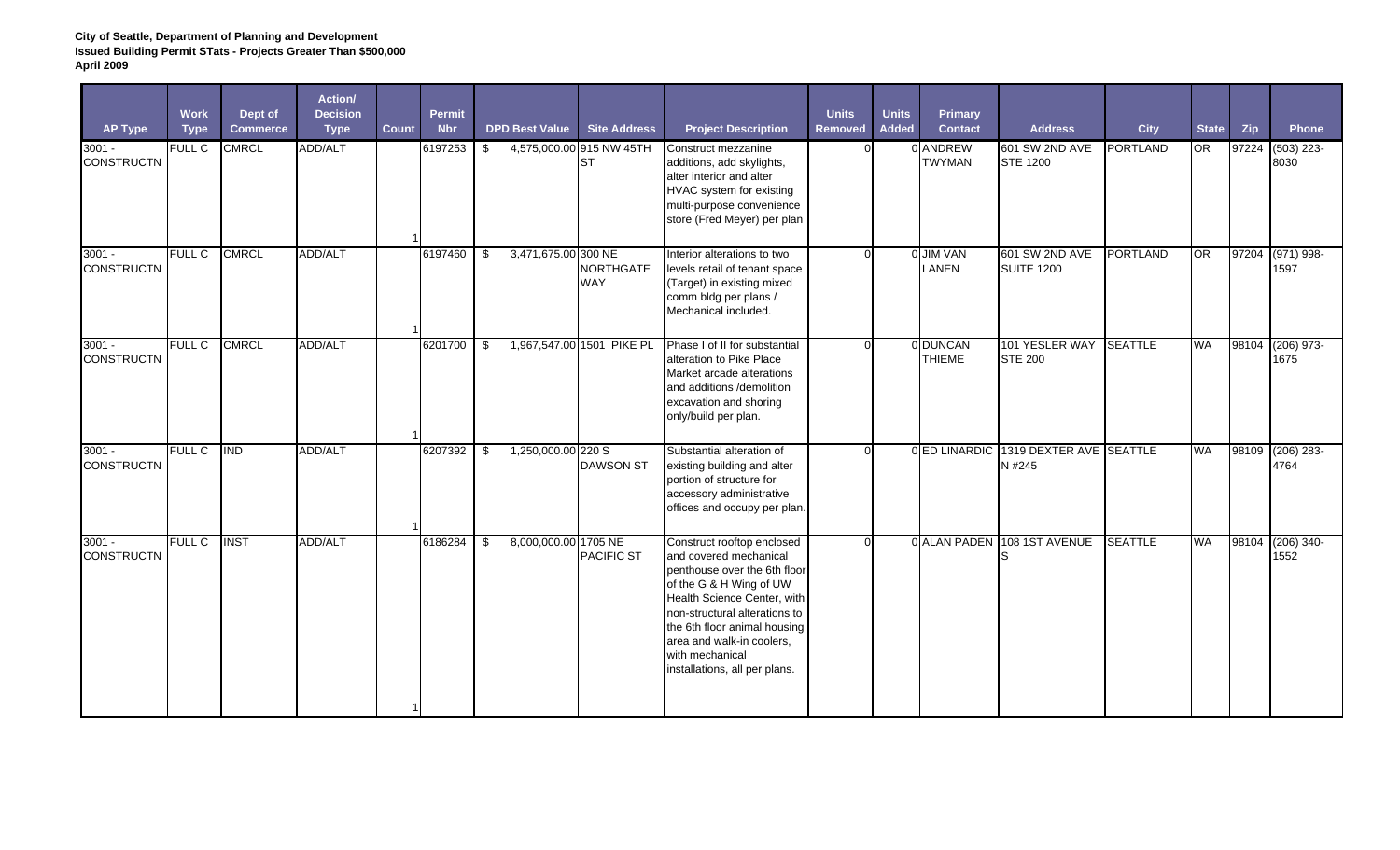| <b>AP Type</b>                | <b>Work</b><br><b>Type</b> | Dept of<br><b>Commerce</b> | Action/<br><b>Decision</b><br><b>Type</b> | Count | <b>Permit</b><br><b>Nbr</b> | <b>DPD Best Value</b>      | <b>Site Address</b>                   | <b>Project Description</b>                                                                                                                                                                                                                                                                       | <b>Units</b><br><b>Removed</b> | <b>Units</b><br><b>Added</b> | Primary<br><b>Contact</b> | <b>Address</b>                      | <b>City</b>     | <b>State</b> | Zip   | <b>Phone</b>          |
|-------------------------------|----------------------------|----------------------------|-------------------------------------------|-------|-----------------------------|----------------------------|---------------------------------------|--------------------------------------------------------------------------------------------------------------------------------------------------------------------------------------------------------------------------------------------------------------------------------------------------|--------------------------------|------------------------------|---------------------------|-------------------------------------|-----------------|--------------|-------|-----------------------|
| $3001 -$<br><b>CONSTRUCTN</b> | <b>FULL C</b>              | <b>CMRCL</b>               | ADD/ALT                                   |       | 6197253                     | \$                         | 4,575,000.00 915 NW 45TH<br><b>ST</b> | Construct mezzanine<br>additions, add skylights,<br>alter interior and alter<br>HVAC system for existing<br>multi-purpose convenience<br>store (Fred Meyer) per plan                                                                                                                             |                                |                              | 0 ANDREW<br><b>TWYMAN</b> | 601 SW 2ND AVE<br><b>STE 1200</b>   | PORTLAND        | <b>OR</b>    | 97224 | $(503)$ 223-<br>8030  |
| $3001 -$<br><b>CONSTRUCTN</b> | <b>FULL C</b>              | <b>CMRCL</b>               | ADD/ALT                                   |       | 6197460                     | \$<br>3,471,675.00 300 NE  | <b>NORTHGATE</b><br>WAY               | Interior alterations to two<br>levels retail of tenant space<br>(Target) in existing mixed<br>comm bldg per plans /<br>Mechanical included.                                                                                                                                                      | $\Omega$                       |                              | 0 JIM VAN<br>LANEN        | 601 SW 2ND AVE<br><b>SUITE 1200</b> | <b>PORTLAND</b> | OR           | 97204 | $(971) 998 -$<br>1597 |
| $3001 -$<br><b>CONSTRUCTN</b> | <b>FULL C</b>              | <b>CMRCL</b>               | <b>ADD/ALT</b>                            |       | 6201700                     | \$                         | 1,967,547.00 1501 PIKE PL             | Phase I of II for substantial<br>alteration to Pike Place<br>Market arcade alterations<br>and additions /demolition<br>excavation and shoring<br>only/build per plan.                                                                                                                            | $\Omega$                       |                              | 0 DUNCAN<br><b>THIEME</b> | 101 YESLER WAY<br><b>STE 200</b>    | <b>SEATTLE</b>  | WA           | 98104 | $(206)$ 973-<br>1675  |
| $3001 -$<br><b>CONSTRUCTN</b> | <b>FULL C</b>              | <b>IND</b>                 | <b>ADD/ALT</b>                            |       | 6207392                     | \$<br>1,250,000.00 220 S   | <b>DAWSON ST</b>                      | Substantial alteration of<br>existing building and alter<br>portion of structure for<br>accessory administrative<br>offices and occupy per plan.                                                                                                                                                 | $\Omega$                       |                              | 0 ED LINARDIC             | 1319 DEXTER AVE SEATTLE<br>N #245   |                 | WA           | 98109 | $(206)$ 283-<br>4764  |
| $3001 -$<br><b>CONSTRUCTN</b> | <b>FULL C</b>              | <b>INST</b>                | ADD/ALT                                   |       | 6186284                     | \$<br>8,000,000.00 1705 NE | PACIFIC ST                            | Construct rooftop enclosed<br>and covered mechanical<br>penthouse over the 6th floor<br>of the G & H Wing of UW<br>Health Science Center, with<br>non-structural alterations to<br>the 6th floor animal housing<br>area and walk-in coolers,<br>with mechanical<br>installations, all per plans. | $\Omega$                       |                              | 0 ALAN PADEN              | 108 1ST AVENUE                      | <b>SEATTLE</b>  | <b>WA</b>    | 98104 | $(206)$ 340-<br>1552  |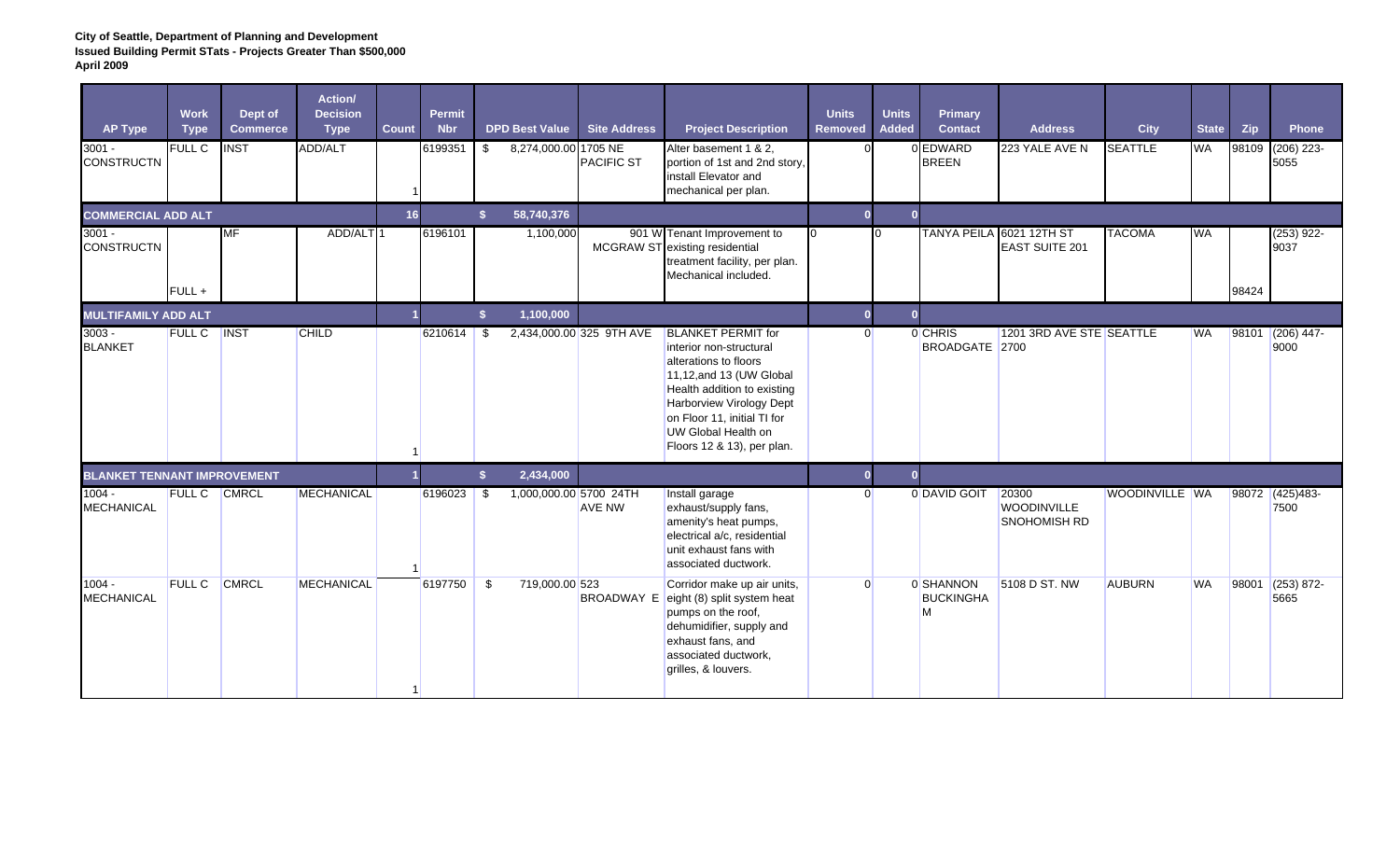| <b>AP Type</b>                     | <b>Work</b><br><b>Type</b> | Dept of<br><b>Commerce</b> | Action/<br><b>Decision</b><br><b>Type</b> | <b>Count</b> | Permit<br><b>Nbr</b> | <b>DPD Best Value</b> |                | <b>Site Address</b>                       | <b>Project Description</b>                                                                                                                                                                                                                               | <b>Units</b><br><b>Removed</b> | <b>Units</b><br><b>Added</b> | Primary<br><b>Contact</b>          | <b>Address</b>                                    | <b>City</b>    | <b>State</b> | Zip   | <b>Phone</b>            |
|------------------------------------|----------------------------|----------------------------|-------------------------------------------|--------------|----------------------|-----------------------|----------------|-------------------------------------------|----------------------------------------------------------------------------------------------------------------------------------------------------------------------------------------------------------------------------------------------------------|--------------------------------|------------------------------|------------------------------------|---------------------------------------------------|----------------|--------------|-------|-------------------------|
| $3001 -$<br><b>CONSTRUCTN</b>      | FULL C                     | <b>INST</b>                | ADD/ALT                                   |              | 6199351              | \$                    |                | 8,274,000.00 1705 NE<br><b>PACIFIC ST</b> | Alter basement 1 & 2.<br>portion of 1st and 2nd story,<br>install Elevator and<br>mechanical per plan.                                                                                                                                                   | $\Omega$                       |                              | 0 EDWARD<br><b>BREEN</b>           | 223 YALE AVE N                                    | <b>SEATTLE</b> | <b>WA</b>    | 98109 | $(206)$ 223-<br>5055    |
| <b>COMMERCIAL ADD ALT</b>          |                            |                            |                                           | 16           |                      | s.                    | 58,740,376     |                                           |                                                                                                                                                                                                                                                          | $\mathbf{0}$                   | $\mathbf{0}$                 |                                    |                                                   |                |              |       |                         |
| $3001 -$<br><b>CONSTRUCTN</b>      | $FULL +$                   | MF                         | ADD/ALT <sup>1</sup>                      |              | 6196101              |                       | 1,100,000      |                                           | 901 W Tenant Improvement to<br>MCGRAW ST existing residential<br>treatment facility, per plan.<br>Mechanical included.                                                                                                                                   | $\Omega$                       | I0.                          |                                    | TANYA PEILA 6021 12TH ST<br><b>EAST SUITE 201</b> | <b>TACOMA</b>  | <b>WA</b>    | 98424 | $(253)$ 922-<br>9037    |
| <b>MULTIFAMILY ADD ALT</b>         |                            |                            |                                           |              |                      | S.                    | 1,100,000      |                                           |                                                                                                                                                                                                                                                          | $\mathbf{0}$                   | $\overline{0}$               |                                    |                                                   |                |              |       |                         |
| $3003 -$<br><b>BLANKET</b>         | <b>FULL C</b>              | <b>INST</b>                | <b>CHILD</b>                              |              | $6210614$ \$         |                       |                | 2,434,000.00 325 9TH AVE                  | <b>BLANKET PERMIT for</b><br>interior non-structural<br>alterations to floors<br>11,12, and 13 (UW Global<br>Health addition to existing<br>Harborview Virology Dept<br>on Floor 11, initial TI for<br>UW Global Health on<br>Floors 12 & 13), per plan. | $\Omega$                       |                              | 0 CHRIS<br>BROADGATE 2700          | 1201 3RD AVE STE SEATTLE                          |                | <b>WA</b>    | 98101 | $(206)$ 447-<br>9000    |
| <b>BLANKET TENNANT IMPROVEMENT</b> |                            |                            |                                           |              |                      | $\mathbf{s}$          | 2,434,000      |                                           |                                                                                                                                                                                                                                                          | $\mathbf 0$                    | $\overline{0}$               |                                    |                                                   |                |              |       |                         |
| $1004 -$<br><b>MECHANICAL</b>      | FULL C CMRCL               |                            | <b>MECHANICAL</b>                         |              | 6196023              | \$                    |                | 1,000,000.00 5700 24TH<br><b>AVE NW</b>   | Install garage<br>exhaust/supply fans,<br>amenity's heat pumps,<br>electrical a/c, residential<br>unit exhaust fans with<br>associated ductwork.                                                                                                         | $\Omega$                       |                              | 0 DAVID GOIT                       | 20300<br><b>WOODINVILLE</b><br>SNOHOMISH RD       | WOODINVILLE WA |              |       | 98072 (425)483-<br>7500 |
| $1004 -$<br><b>MECHANICAL</b>      | <b>FULL C</b>              | CMRCL                      | <b>MECHANICAL</b>                         |              | 6197750              | - \$                  | 719,000.00 523 |                                           | Corridor make up air units,<br>BROADWAY E eight (8) split system heat<br>pumps on the roof,<br>dehumidifier, supply and<br>exhaust fans, and<br>associated ductwork.<br>grilles, & louvers.                                                              | $\Omega$                       |                              | 0 SHANNON<br><b>BUCKINGHA</b><br>M | 5108 D ST. NW                                     | <b>AUBURN</b>  | <b>WA</b>    | 98001 | $(253) 872 -$<br>5665   |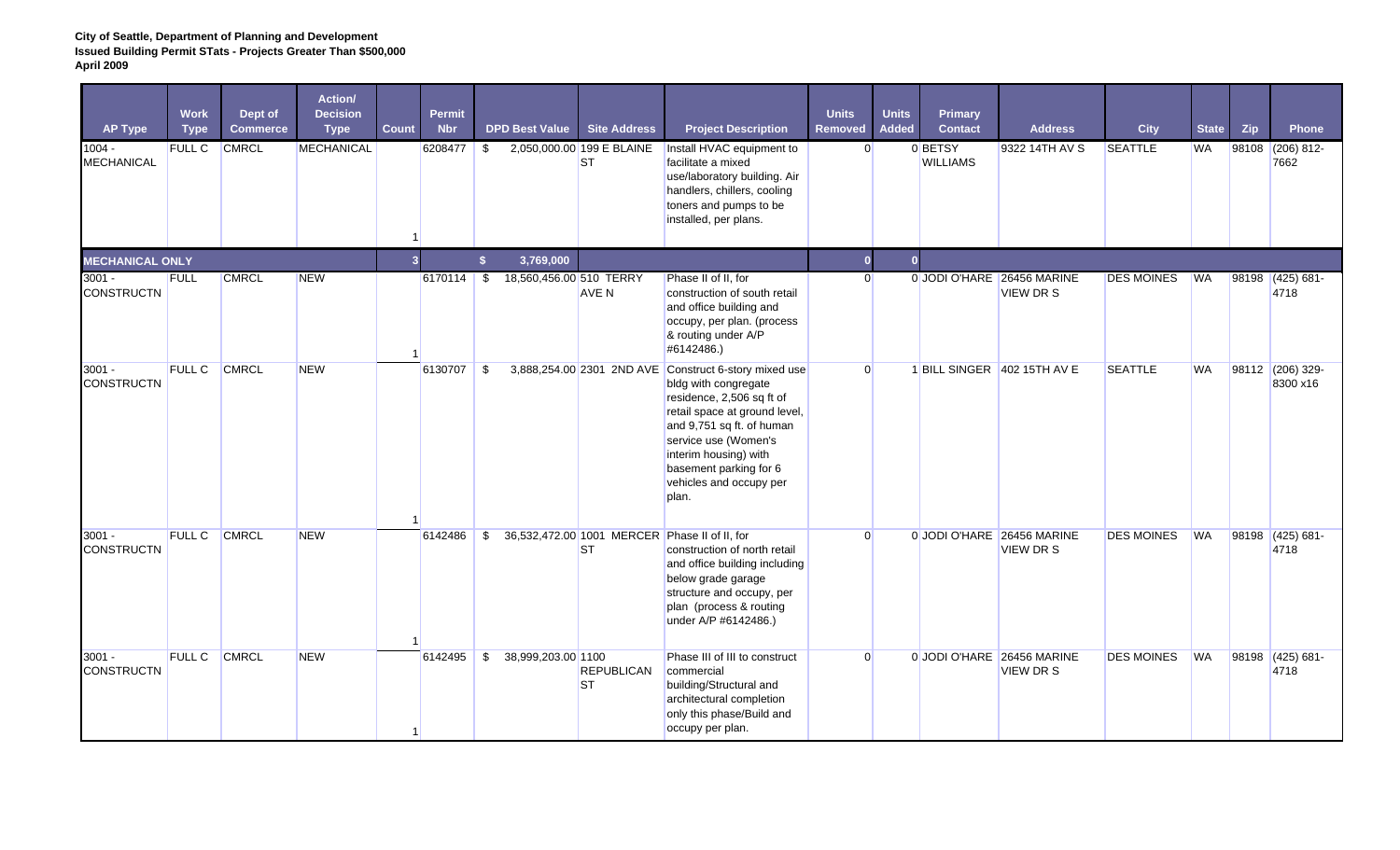| <b>AP Type</b>                | <b>Work</b><br><b>Type</b> | Dept of<br><b>Commerce</b> | Action/<br><b>Decision</b><br><b>Type</b> | Count          | <b>Permit</b><br><b>Nbr</b> |    | <b>DPD Best Value</b>   | <b>Site Address</b>                    | <b>Project Description</b>                                                                                                                                                                                                                                                              | <b>Units</b><br><b>Removed</b> | <b>Units</b><br><b>Added</b> | Primary<br><b>Contact</b>  | <b>Address</b>                                | <b>City</b>       | <b>State</b> | Zip   | <b>Phone</b>                 |
|-------------------------------|----------------------------|----------------------------|-------------------------------------------|----------------|-----------------------------|----|-------------------------|----------------------------------------|-----------------------------------------------------------------------------------------------------------------------------------------------------------------------------------------------------------------------------------------------------------------------------------------|--------------------------------|------------------------------|----------------------------|-----------------------------------------------|-------------------|--------------|-------|------------------------------|
| $1004 -$<br><b>MECHANICAL</b> | FULL C                     | <b>CMRCL</b>               | MECHANICAL                                |                | 6208477                     | \$ |                         | 2,050,000.00 199 E BLAINE<br><b>ST</b> | Install HVAC equipment to<br>facilitate a mixed<br>use/laboratory building. Air<br>handlers, chillers, cooling<br>toners and pumps to be<br>installed, per plans.                                                                                                                       | $\overline{0}$                 |                              | 0 BETSY<br><b>WILLIAMS</b> | 9322 14TH AV S                                | <b>SEATTLE</b>    | <b>WA</b>    |       | 98108 (206) 812-<br>7662     |
| <b>MECHANICAL ONLY</b>        |                            |                            |                                           | 3 <sup>1</sup> |                             | \$ | 3,769,000               |                                        |                                                                                                                                                                                                                                                                                         | $\mathbf{0}$                   | $\overline{0}$               |                            |                                               |                   |              |       |                              |
| $3001 -$<br><b>CONSTRUCTN</b> | <b>FULL</b>                | <b>CMRCL</b>               | <b>NEW</b>                                |                | 6170114                     | s, | 18,560,456.00 510 TERRY | AVE N                                  | Phase II of II, for<br>construction of south retail<br>and office building and<br>occupy, per plan. (process<br>& routing under A/P<br>#6142486.)                                                                                                                                       | $\Omega$                       |                              |                            | 0 JODI O'HARE 26456 MARINE<br><b>VIEW DRS</b> | <b>DES MOINES</b> | <b>WA</b>    | 98198 | $(425) 681 -$<br>4718        |
| $3001 -$<br><b>CONSTRUCTN</b> | <b>FULL C</b>              | <b>CMRCL</b>               | <b>NEW</b>                                |                | 6130707                     | \$ |                         |                                        | 3,888,254.00 2301 2ND AVE Construct 6-story mixed use<br>bldg with congregate<br>residence, 2,506 sq ft of<br>retail space at ground level,<br>and 9,751 sq ft. of human<br>service use (Women's<br>interim housing) with<br>basement parking for 6<br>vehicles and occupy per<br>plan. | $\Omega$                       |                              |                            | 1 BILL SINGER 402 15TH AV E                   | <b>SEATTLE</b>    | <b>WA</b>    |       | 98112 (206) 329-<br>8300 x16 |
| $3001 -$<br><b>CONSTRUCTN</b> | <b>FULL C</b>              | <b>CMRCL</b>               | <b>NEW</b>                                |                | 6142486                     | \$ |                         | <b>ST</b>                              | 36,532,472.00 1001 MERCER Phase II of II, for<br>construction of north retail<br>and office building including<br>below grade garage<br>structure and occupy, per<br>plan (process & routing<br>under A/P #6142486.)                                                                    | $\Omega$                       |                              |                            | 0 JODI O'HARE 26456 MARINE<br><b>VIEW DRS</b> | <b>DES MOINES</b> | <b>WA</b>    |       | 98198 (425) 681-<br>4718     |
| $3001 -$<br><b>CONSTRUCTN</b> | FULL C CMRCL               |                            | <b>NEW</b>                                |                | 6142495                     | \$ | 38,999,203.00 1100      | <b>REPUBLICAN</b><br><b>ST</b>         | Phase III of III to construct<br>commercial<br>building/Structural and<br>architectural completion<br>only this phase/Build and<br>occupy per plan.                                                                                                                                     | $\Omega$                       |                              |                            | 0 JODI O'HARE 26456 MARINE<br><b>VIEW DRS</b> | <b>DES MOINES</b> | <b>WA</b>    |       | 98198 (425) 681-<br>4718     |